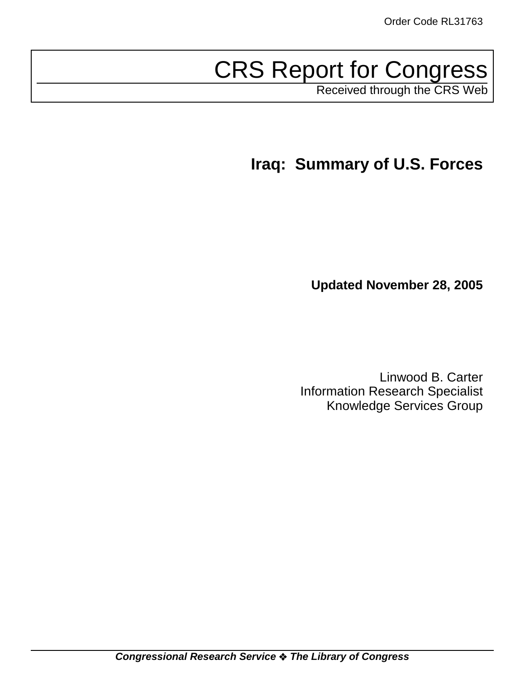# CRS Report for Congress

Received through the CRS Web

**Iraq: Summary of U.S. Forces**

**Updated November 28, 2005**

Linwood B. Carter Information Research Specialist Knowledge Services Group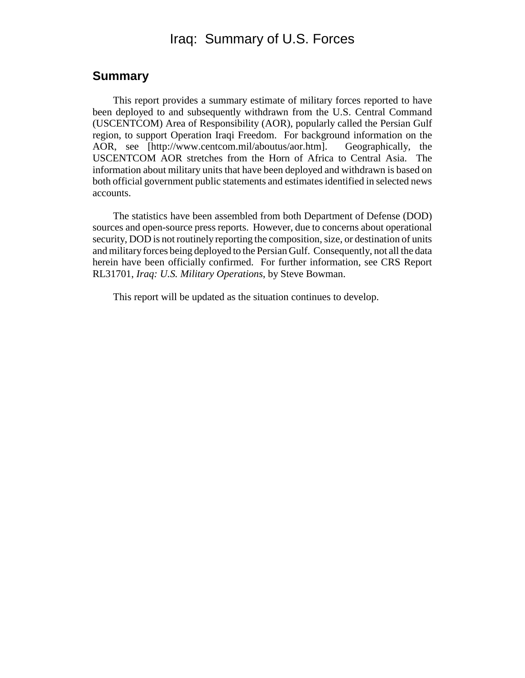# Iraq: Summary of U.S. Forces

### **Summary**

This report provides a summary estimate of military forces reported to have been deployed to and subsequently withdrawn from the U.S. Central Command (USCENTCOM) Area of Responsibility (AOR), popularly called the Persian Gulf region, to support Operation Iraqi Freedom. For background information on the AOR, see [http://www.centcom.mil/aboutus/aor.htm]. Geographically, the USCENTCOM AOR stretches from the Horn of Africa to Central Asia. The information about military units that have been deployed and withdrawn is based on both official government public statements and estimates identified in selected news accounts.

The statistics have been assembled from both Department of Defense (DOD) sources and open-source press reports. However, due to concerns about operational security, DOD is not routinely reporting the composition, size, or destination of units and military forces being deployed to the Persian Gulf. Consequently, not all the data herein have been officially confirmed. For further information, see CRS Report RL31701, *Iraq: U.S. Military Operations*, by Steve Bowman.

This report will be updated as the situation continues to develop.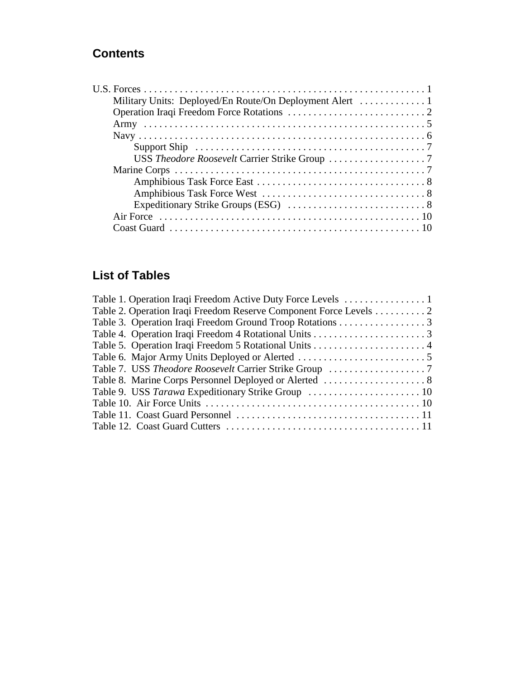# **Contents**

| Support Ship $\dots \dots \dots \dots \dots \dots \dots \dots \dots \dots \dots \dots \dots \dots \dots$ |  |
|----------------------------------------------------------------------------------------------------------|--|
|                                                                                                          |  |
|                                                                                                          |  |
|                                                                                                          |  |
|                                                                                                          |  |
|                                                                                                          |  |
|                                                                                                          |  |
|                                                                                                          |  |

# **List of Tables**

| Table 2. Operation Iraqi Freedom Reserve Component Force Levels 2 |  |
|-------------------------------------------------------------------|--|
| Table 3. Operation Iraqi Freedom Ground Troop Rotations 3         |  |
|                                                                   |  |
|                                                                   |  |
|                                                                   |  |
| Table 7. USS Theodore Roosevelt Carrier Strike Group 7            |  |
|                                                                   |  |
|                                                                   |  |
|                                                                   |  |
|                                                                   |  |
|                                                                   |  |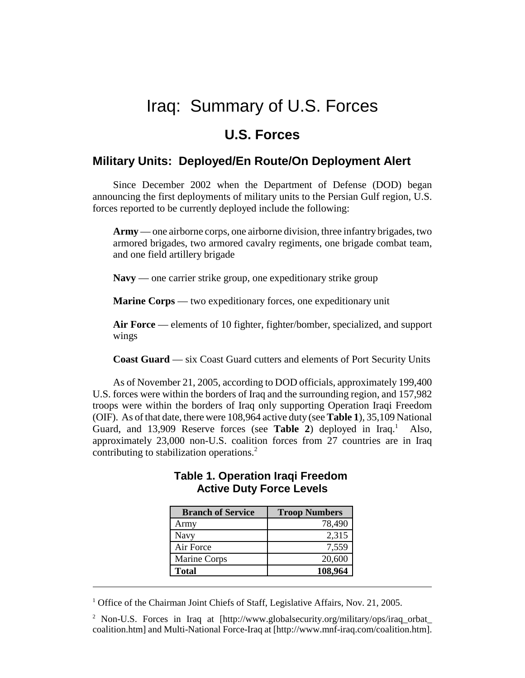# Iraq: Summary of U.S. Forces

# **U.S. Forces**

# **Military Units: Deployed/En Route/On Deployment Alert**

Since December 2002 when the Department of Defense (DOD) began announcing the first deployments of military units to the Persian Gulf region, U.S. forces reported to be currently deployed include the following:

**Army** — one airborne corps, one airborne division, three infantry brigades, two armored brigades, two armored cavalry regiments, one brigade combat team, and one field artillery brigade

**Navy** — one carrier strike group, one expeditionary strike group

**Marine Corps** — two expeditionary forces, one expeditionary unit

**Air Force** — elements of 10 fighter, fighter/bomber, specialized, and support wings

**Coast Guard** — six Coast Guard cutters and elements of Port Security Units

As of November 21, 2005, according to DOD officials, approximately 199,400 U.S. forces were within the borders of Iraq and the surrounding region, and 157,982 troops were within the borders of Iraq only supporting Operation Iraqi Freedom (OIF). As of that date, there were 108,964 active duty (see **Table 1**), 35,109 National Guard, and 13,909 Reserve forces (see Table 2) deployed in Iraq.<sup>1</sup> Also, approximately 23,000 non-U.S. coalition forces from 27 countries are in Iraq contributing to stabilization operations.2

| <b>Branch of Service</b> | <b>Troop Numbers</b> |
|--------------------------|----------------------|
| Army                     | 78,490               |
| Navy                     | 2,315                |
| Air Force                | 7,559                |
| Marine Corps             | 20,600               |
| <b>Total</b>             | 108,964              |

### **Table 1. Operation Iraqi Freedom Active Duty Force Levels**

<sup>2</sup> Non-U.S. Forces in Iraq at [http://www.globalsecurity.org/military/ops/iraq\_orbat\_ coalition.htm] and Multi-National Force-Iraq at [http://www.mnf-iraq.com/coalition.htm].

<sup>&</sup>lt;sup>1</sup> Office of the Chairman Joint Chiefs of Staff, Legislative Affairs, Nov. 21, 2005.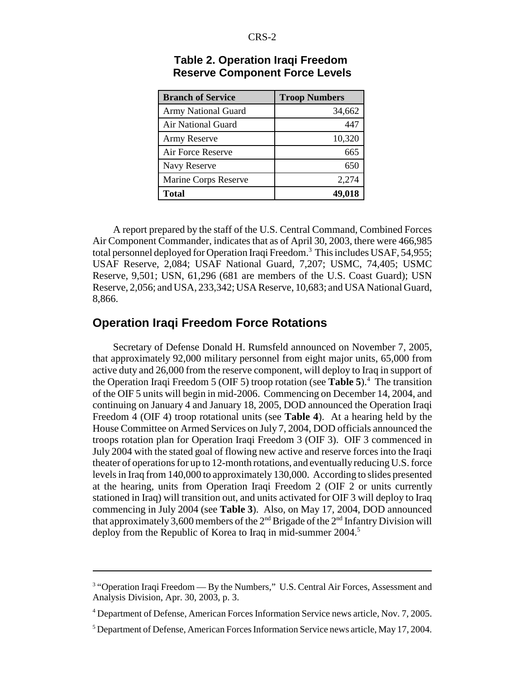| <b>Branch of Service</b>   | <b>Troop Numbers</b> |
|----------------------------|----------------------|
| <b>Army National Guard</b> | 34,662               |
| Air National Guard         | 447                  |
| <b>Army Reserve</b>        | 10,320               |
| Air Force Reserve          | 665                  |
| Navy Reserve               | 650                  |
| Marine Corps Reserve       | 2,274                |
| <b>Total</b>               | 49,018               |

#### **Table 2. Operation Iraqi Freedom Reserve Component Force Levels**

A report prepared by the staff of the U.S. Central Command, Combined Forces Air Component Commander, indicates that as of April 30, 2003, there were 466,985 total personnel deployed for Operation Iraqi Freedom.<sup>3</sup> This includes USAF, 54,955; USAF Reserve, 2,084; USAF National Guard, 7,207; USMC, 74,405; USMC Reserve, 9,501; USN, 61,296 (681 are members of the U.S. Coast Guard); USN Reserve, 2,056; and USA, 233,342; USA Reserve, 10,683; and USA National Guard, 8,866.

### **Operation Iraqi Freedom Force Rotations**

Secretary of Defense Donald H. Rumsfeld announced on November 7, 2005, that approximately 92,000 military personnel from eight major units, 65,000 from active duty and 26,000 from the reserve component, will deploy to Iraq in support of the Operation Iraqi Freedom 5 (OIF 5) troop rotation (see **Table 5**).4 The transition of the OIF 5 units will begin in mid-2006. Commencing on December 14, 2004, and continuing on January 4 and January 18, 2005, DOD announced the Operation Iraqi Freedom 4 (OIF 4) troop rotational units (see **Table 4**). At a hearing held by the House Committee on Armed Services on July 7, 2004, DOD officials announced the troops rotation plan for Operation Iraqi Freedom 3 (OIF 3). OIF 3 commenced in July 2004 with the stated goal of flowing new active and reserve forces into the Iraqi theater of operations for up to 12-month rotations, and eventually reducing U.S. force levels in Iraq from 140,000 to approximately 130,000. According to slides presented at the hearing, units from Operation Iraqi Freedom 2 (OIF 2 or units currently stationed in Iraq) will transition out, and units activated for OIF 3 will deploy to Iraq commencing in July 2004 (see **Table 3**). Also, on May 17, 2004, DOD announced that approximately 3,600 members of the  $2<sup>nd</sup>$  Brigade of the  $2<sup>nd</sup>$  Infantry Division will deploy from the Republic of Korea to Iraq in mid-summer 2004.<sup>5</sup>

<sup>&</sup>lt;sup>3</sup> "Operation Iraqi Freedom — By the Numbers," U.S. Central Air Forces, Assessment and Analysis Division, Apr. 30, 2003, p. 3.

<sup>4</sup> Department of Defense, American Forces Information Service news article, Nov. 7, 2005.

<sup>&</sup>lt;sup>5</sup> Department of Defense, American Forces Information Service news article, May 17, 2004.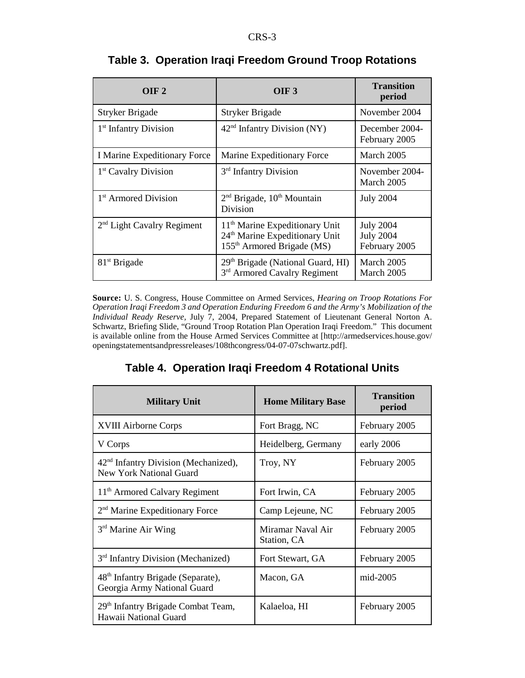| OIF <sub>2</sub>                  | OIF <sub>3</sub>                                                                                                                   | <b>Transition</b><br>period                           |
|-----------------------------------|------------------------------------------------------------------------------------------------------------------------------------|-------------------------------------------------------|
| Stryker Brigade                   | Stryker Brigade                                                                                                                    | November 2004                                         |
| 1 <sup>st</sup> Infantry Division | 42 <sup>nd</sup> Infantry Division (NY)                                                                                            | December 2004-<br>February 2005                       |
| I Marine Expeditionary Force      | Marine Expeditionary Force                                                                                                         | March 2005                                            |
| 1 <sup>st</sup> Cavalry Division  | 3 <sup>rd</sup> Infantry Division                                                                                                  | November 2004-<br>March 2005                          |
| 1 <sup>st</sup> Armored Division  | $2nd$ Brigade, $10th$ Mountain<br>Division                                                                                         | <b>July 2004</b>                                      |
| $2nd$ Light Cavalry Regiment      | 11 <sup>th</sup> Marine Expeditionary Unit<br>24 <sup>th</sup> Marine Expeditionary Unit<br>155 <sup>th</sup> Armored Brigade (MS) | <b>July 2004</b><br><b>July 2004</b><br>February 2005 |
| $81st$ Brigade                    | 29 <sup>th</sup> Brigade (National Guard, HI)<br>3rd Armored Cavalry Regiment                                                      | March 2005<br>March 2005                              |

# **Table 3. Operation Iraqi Freedom Ground Troop Rotations**

**Source:** U. S. Congress, House Committee on Armed Services, *Hearing on Troop Rotations For Operation Iraqi Freedom 3 and Operation Enduring Freedom 6 and the Army's Mobilization of the Individual Ready Reserve,* July 7, 2004, Prepared Statement of Lieutenant General Norton A. Schwartz, Briefing Slide, "Ground Troop Rotation Plan Operation Iraqi Freedom." This document is available online from the House Armed Services Committee at [http://armedservices.house.gov/ openingstatementsandpressreleases/108thcongress/04-07-07schwartz.pdf].

# **Table 4. Operation Iraqi Freedom 4 Rotational Units**

| <b>Military Unit</b>                                                         | <b>Home Military Base</b>        | <b>Transition</b><br>period |
|------------------------------------------------------------------------------|----------------------------------|-----------------------------|
| <b>XVIII Airborne Corps</b>                                                  | Fort Bragg, NC                   | February 2005               |
| V Corps                                                                      | Heidelberg, Germany              | early 2006                  |
| 42 <sup>nd</sup> Infantry Division (Mechanized),<br>New York National Guard  | Troy, NY                         | February 2005               |
| 11 <sup>th</sup> Armored Calvary Regiment                                    | Fort Irwin, CA                   | February 2005               |
| 2 <sup>nd</sup> Marine Expeditionary Force                                   | Camp Lejeune, NC                 | February 2005               |
| 3 <sup>rd</sup> Marine Air Wing                                              | Miramar Naval Air<br>Station, CA | February 2005               |
| 3 <sup>rd</sup> Infantry Division (Mechanized)                               | Fort Stewart, GA                 | February 2005               |
| 48 <sup>th</sup> Infantry Brigade (Separate),<br>Georgia Army National Guard | Macon, GA                        | mid-2005                    |
| 29 <sup>th</sup> Infantry Brigade Combat Team,<br>Hawaii National Guard      | Kalaeloa, HI                     | February 2005               |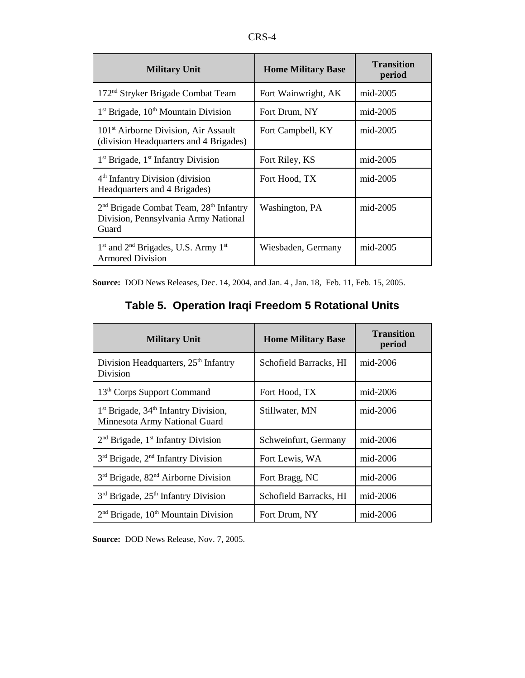| <b>Military Unit</b>                                                                                            | <b>Home Military Base</b> | <b>Transition</b><br>period |
|-----------------------------------------------------------------------------------------------------------------|---------------------------|-----------------------------|
| 172 <sup>nd</sup> Stryker Brigade Combat Team                                                                   | Fort Wainwright, AK       | $mid-2005$                  |
| $1st$ Brigade, $10th$ Mountain Division                                                                         | Fort Drum, NY             | $mid-2005$                  |
| 101 <sup>st</sup> Airborne Division, Air Assault<br>(division Headquarters and 4 Brigades)                      | Fort Campbell, KY         | mid-2005                    |
| $1st$ Brigade, $1st$ Infantry Division                                                                          | Fort Riley, KS            | $mid-2005$                  |
| 4 <sup>th</sup> Infantry Division (division<br>Headquarters and 4 Brigades)                                     | Fort Hood, TX             | $mid-2005$                  |
| 2 <sup>nd</sup> Brigade Combat Team, 28 <sup>th</sup> Infantry<br>Division, Pennsylvania Army National<br>Guard | Washington, PA            | $mid-2005$                  |
| $1st$ and $2nd$ Brigades, U.S. Army $1st$<br><b>Armored Division</b>                                            | Wiesbaden, Germany        | mid-2005                    |

**Source:** DOD News Releases, Dec. 14, 2004, and Jan. 4 , Jan. 18, Feb. 11, Feb. 15, 2005.

| Table 5. Operation Iraqi Freedom 5 Rotational Units |  |
|-----------------------------------------------------|--|
|-----------------------------------------------------|--|

| <b>Military Unit</b>                                                      | <b>Home Military Base</b> | <b>Transition</b><br>period |
|---------------------------------------------------------------------------|---------------------------|-----------------------------|
| Division Headquarters, 25 <sup>th</sup> Infantry<br>Division              | Schofield Barracks, HI    | $mid-2006$                  |
| 13 <sup>th</sup> Corps Support Command                                    | Fort Hood, TX             | mid-2006                    |
| $1st$ Brigade, $34th$ Infantry Division,<br>Minnesota Army National Guard | Stillwater, MN            | $mid-2006$                  |
| $2nd$ Brigade, 1 <sup>st</sup> Infantry Division                          | Schweinfurt, Germany      | mid-2006                    |
| $3rd$ Brigade, $2nd$ Infantry Division                                    | Fort Lewis, WA            | $mid-2006$                  |
| 3 <sup>rd</sup> Brigade, 82 <sup>nd</sup> Airborne Division               | Fort Bragg, NC            | $mid-2006$                  |
| $3rd$ Brigade, $25th$ Infantry Division                                   | Schofield Barracks, HI    | $mid-2006$                  |
| $2nd$ Brigade, $10th$ Mountain Division                                   | Fort Drum, NY             | mid-2006                    |

**Source:** DOD News Release, Nov. 7, 2005.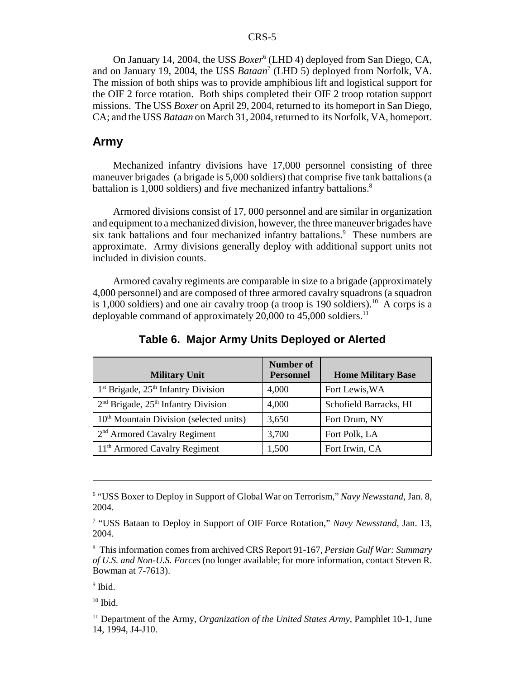#### CRS-5

On January 14, 2004, the USS *Boxer*<sup>6</sup> (LHD 4) deployed from San Diego, CA, and on January 19, 2004, the USS *Bataan*<sup>7</sup> (LHD 5) deployed from Norfolk, VA. The mission of both ships was to provide amphibious lift and logistical support for the OIF 2 force rotation. Both ships completed their OIF 2 troop rotation support missions. The USS *Boxer* on April 29, 2004, returned to its homeport in San Diego, CA; and the USS *Bataan* on March 31, 2004, returned to its Norfolk, VA, homeport.

#### **Army**

Mechanized infantry divisions have 17,000 personnel consisting of three maneuver brigades (a brigade is 5,000 soldiers) that comprise five tank battalions (a battalion is 1,000 soldiers) and five mechanized infantry battalions.<sup>8</sup>

Armored divisions consist of 17, 000 personnel and are similar in organization and equipment to a mechanized division, however, the three maneuver brigades have six tank battalions and four mechanized infantry battalions.<sup>9</sup> These numbers are approximate. Army divisions generally deploy with additional support units not included in division counts.

Armored cavalry regiments are comparable in size to a brigade (approximately 4,000 personnel) and are composed of three armored cavalry squadrons (a squadron is 1,000 soldiers) and one air cavalry troop (a troop is 190 soldiers).<sup>10</sup> A corps is a deployable command of approximately 20,000 to 45,000 soldiers.<sup>11</sup>

| <b>Military Unit</b>                                | <b>Number of</b><br><b>Personnel</b> | <b>Home Military Base</b> |
|-----------------------------------------------------|--------------------------------------|---------------------------|
| $1st$ Brigade, $25th$ Infantry Division             | 4,000                                | Fort Lewis, WA            |
| $2nd$ Brigade, $25th$ Infantry Division             | 4,000                                | Schofield Barracks, HI    |
| 10 <sup>th</sup> Mountain Division (selected units) | 3,650                                | Fort Drum, NY             |
| $2nd$ Armored Cavalry Regiment                      | 3,700                                | Fort Polk, LA             |
| 11 <sup>th</sup> Armored Cavalry Regiment           | 1,500                                | Fort Irwin, CA            |

**Table 6. Major Army Units Deployed or Alerted**

<sup>&</sup>lt;sup>6</sup> "USS Boxer to Deploy in Support of Global War on Terrorism," Navy Newsstand, Jan. 8, 2004.

<sup>&</sup>lt;sup>7</sup> "USS Bataan to Deploy in Support of OIF Force Rotation," Navy Newsstand, Jan. 13, 2004.

<sup>8</sup> This information comes from archived CRS Report 91-167, *Persian Gulf War: Summary of U.S. and Non-U.S. Forces* (no longer available; for more information, contact Steven R. Bowman at 7-7613).

<sup>&</sup>lt;sup>9</sup> Ibid.

 $10$  Ibid.

<sup>&</sup>lt;sup>11</sup> Department of the Army, *Organization of the United States Army*, Pamphlet 10-1, June 14, 1994, J4-J10.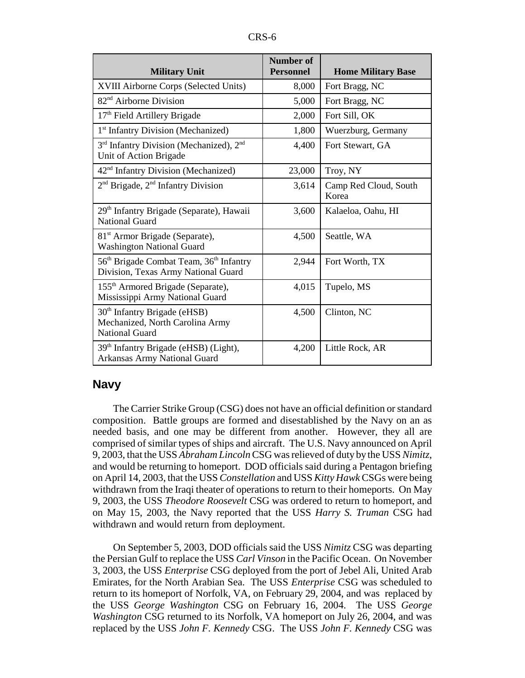| <b>Military Unit</b>                                                                                   | <b>Number of</b><br><b>Personnel</b> | <b>Home Military Base</b>      |
|--------------------------------------------------------------------------------------------------------|--------------------------------------|--------------------------------|
| XVIII Airborne Corps (Selected Units)                                                                  | 8,000                                | Fort Bragg, NC                 |
| 82 <sup>nd</sup> Airborne Division                                                                     | 5,000                                | Fort Bragg, NC                 |
| 17th Field Artillery Brigade                                                                           | 2,000                                | Fort Sill, OK                  |
| 1 <sup>st</sup> Infantry Division (Mechanized)                                                         | 1,800                                | Wuerzburg, Germany             |
| 3 <sup>rd</sup> Infantry Division (Mechanized), 2 <sup>nd</sup><br>Unit of Action Brigade              | 4,400                                | Fort Stewart, GA               |
| 42 <sup>nd</sup> Infantry Division (Mechanized)                                                        | 23,000                               | Troy, NY                       |
| $2nd$ Brigade, $2nd$ Infantry Division                                                                 | 3,614                                | Camp Red Cloud, South<br>Korea |
| 29 <sup>th</sup> Infantry Brigade (Separate), Hawaii<br><b>National Guard</b>                          | 3,600                                | Kalaeloa, Oahu, HI             |
| 81 <sup>st</sup> Armor Brigade (Separate),<br><b>Washington National Guard</b>                         | 4,500                                | Seattle, WA                    |
| 56 <sup>th</sup> Brigade Combat Team, 36 <sup>th</sup> Infantry<br>Division, Texas Army National Guard | 2,944                                | Fort Worth, TX                 |
| 155 <sup>th</sup> Armored Brigade (Separate),<br>Mississippi Army National Guard                       | 4,015                                | Tupelo, MS                     |
| $30th$ Infantry Brigade (eHSB)<br>Mechanized, North Carolina Army<br><b>National Guard</b>             | 4,500                                | Clinton, NC                    |
| 39th Infantry Brigade (eHSB) (Light),<br>Arkansas Army National Guard                                  | 4,200                                | Little Rock, AR                |

#### **Navy**

The Carrier Strike Group (CSG) does not have an official definition or standard composition. Battle groups are formed and disestablished by the Navy on an as needed basis, and one may be different from another. However, they all are comprised of similar types of ships and aircraft. The U.S. Navy announced on April 9, 2003, that the USS *Abraham Lincoln* CSG was relieved of duty by the USS *Nimitz*, and would be returning to homeport. DOD officials said during a Pentagon briefing on April 14, 2003, that the USS *Constellation* and USS *Kitty Hawk* CSGs were being withdrawn from the Iraqi theater of operations to return to their homeports. On May 9, 2003, the USS *Theodore Roosevelt* CSG was ordered to return to homeport, and on May 15, 2003, the Navy reported that the USS *Harry S. Truman* CSG had withdrawn and would return from deployment.

On September 5, 2003, DOD officials said the USS *Nimitz* CSG was departing the Persian Gulf to replace the USS *Carl Vinson* in the Pacific Ocean. On November 3, 2003, the USS *Enterprise* CSG deployed from the port of Jebel Ali, United Arab Emirates, for the North Arabian Sea. The USS *Enterprise* CSG was scheduled to return to its homeport of Norfolk, VA, on February 29, 2004, and was replaced by the USS *George Washington* CSG on February 16, 2004. The USS *George Washington* CSG returned to its Norfolk, VA homeport on July 26, 2004, and was replaced by the USS *John F. Kennedy* CSG. The USS *John F. Kennedy* CSG was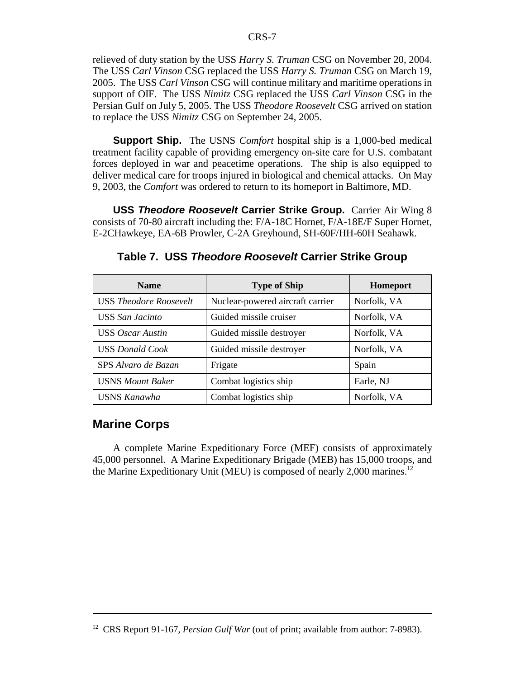relieved of duty station by the USS *Harry S. Truman* CSG on November 20, 2004. The USS *Carl Vinson* CSG replaced the USS *Harry S. Truman* CSG on March 19, 2005. The USS *Carl Vinson* CSG will continue military and maritime operations in support of OIF. The USS *Nimitz* CSG replaced the USS *Carl Vinson* CSG in the Persian Gulf on July 5, 2005. The USS *Theodore Roosevelt* CSG arrived on station to replace the USS *Nimitz* CSG on September 24, 2005.

**Support Ship.** The USNS *Comfort* hospital ship is a 1,000-bed medical treatment facility capable of providing emergency on-site care for U.S. combatant forces deployed in war and peacetime operations. The ship is also equipped to deliver medical care for troops injured in biological and chemical attacks. On May 9, 2003, the *Comfort* was ordered to return to its homeport in Baltimore, MD.

**USS** *Theodore Roosevelt* **Carrier Strike Group.** Carrier Air Wing 8 consists of 70-80 aircraft including the: F/A-18C Hornet, F/A-18E/F Super Hornet, E-2CHawkeye, EA-6B Prowler, C-2A Greyhound, SH-60F/HH-60H Seahawk.

| <b>Name</b>                   | <b>Type of Ship</b>              | Homeport    |
|-------------------------------|----------------------------------|-------------|
| <b>USS Theodore Roosevelt</b> | Nuclear-powered aircraft carrier | Norfolk, VA |
| <b>USS</b> San Jacinto        | Guided missile cruiser           | Norfolk, VA |
| <b>USS</b> Oscar Austin       | Guided missile destroyer         | Norfolk, VA |
| <b>USS Donald Cook</b>        | Guided missile destroyer         | Norfolk, VA |
| SPS Alvaro de Bazan           | Frigate                          | Spain       |
| <b>USNS Mount Baker</b>       | Combat logistics ship            | Earle, NJ   |
| <b>USNS Kanawha</b>           | Combat logistics ship            | Norfolk, VA |

**Table 7. USS** *Theodore Roosevelt* **Carrier Strike Group**

### **Marine Corps**

A complete Marine Expeditionary Force (MEF) consists of approximately 45,000 personnel. A Marine Expeditionary Brigade (MEB) has 15,000 troops, and the Marine Expeditionary Unit (MEU) is composed of nearly  $2,000$  marines.<sup>12</sup>

<sup>&</sup>lt;sup>12</sup> CRS Report 91-167, *Persian Gulf War* (out of print; available from author: 7-8983).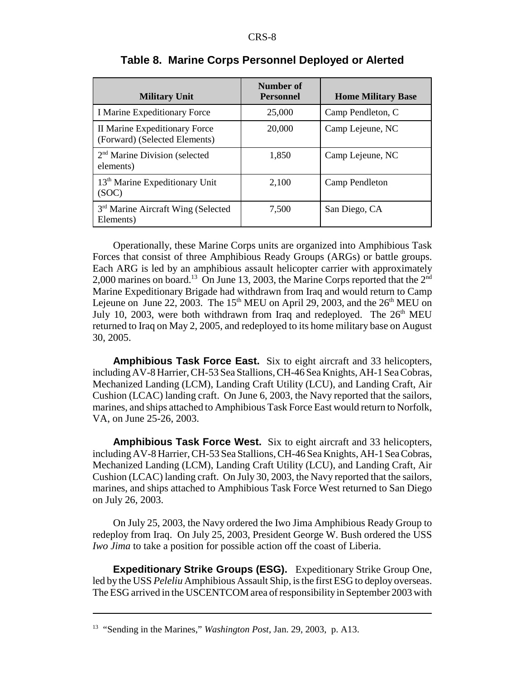| <b>Military Unit</b>                                           | Number of<br><b>Personnel</b> | <b>Home Military Base</b> |
|----------------------------------------------------------------|-------------------------------|---------------------------|
| <b>I Marine Expeditionary Force</b>                            | 25,000                        | Camp Pendleton, C         |
| II Marine Expeditionary Force<br>(Forward) (Selected Elements) | 20,000                        | Camp Lejeune, NC          |
| $2nd$ Marine Division (selected<br>elements)                   | 1,850                         | Camp Lejeune, NC          |
| 13 <sup>th</sup> Marine Expeditionary Unit<br>(SOC)            | 2,100                         | Camp Pendleton            |
| 3 <sup>rd</sup> Marine Aircraft Wing (Selected<br>Elements)    | 7,500                         | San Diego, CA             |

#### **Table 8. Marine Corps Personnel Deployed or Alerted**

Operationally, these Marine Corps units are organized into Amphibious Task Forces that consist of three Amphibious Ready Groups (ARGs) or battle groups. Each ARG is led by an amphibious assault helicopter carrier with approximately 2,000 marines on board.<sup>13</sup> On June 13, 2003, the Marine Corps reported that the  $2<sup>nd</sup>$ Marine Expeditionary Brigade had withdrawn from Iraq and would return to Camp Lejeune on June 22, 2003. The 15<sup>th</sup> MEU on April 29, 2003, and the  $26<sup>th</sup>$  MEU on July 10, 2003, were both withdrawn from Iraq and redeployed. The  $26<sup>th</sup>$  MEU returned to Iraq on May 2, 2005, and redeployed to its home military base on August 30, 2005.

**Amphibious Task Force East.** Six to eight aircraft and 33 helicopters, including AV-8 Harrier, CH-53 Sea Stallions, CH-46 Sea Knights, AH-1 Sea Cobras, Mechanized Landing (LCM), Landing Craft Utility (LCU), and Landing Craft, Air Cushion (LCAC) landing craft. On June 6, 2003, the Navy reported that the sailors, marines, and ships attached to Amphibious Task Force East would return to Norfolk, VA, on June 25-26, 2003.

**Amphibious Task Force West.** Six to eight aircraft and 33 helicopters, including AV-8 Harrier, CH-53 Sea Stallions, CH-46 Sea Knights, AH-1 Sea Cobras, Mechanized Landing (LCM), Landing Craft Utility (LCU), and Landing Craft, Air Cushion (LCAC) landing craft. On July 30, 2003, the Navy reported that the sailors, marines, and ships attached to Amphibious Task Force West returned to San Diego on July 26, 2003.

On July 25, 2003, the Navy ordered the Iwo Jima Amphibious Ready Group to redeploy from Iraq. On July 25, 2003, President George W. Bush ordered the USS *Iwo Jima* to take a position for possible action off the coast of Liberia.

**Expeditionary Strike Groups (ESG).** Expeditionary Strike Group One, led by the USS *Peleliu* Amphibious Assault Ship, is the first ESG to deploy overseas. The ESG arrived in the USCENTCOM area of responsibility in September 2003 with

<sup>13 &</sup>quot;Sending in the Marines," *Washington Post*, Jan. 29, 2003, p. A13.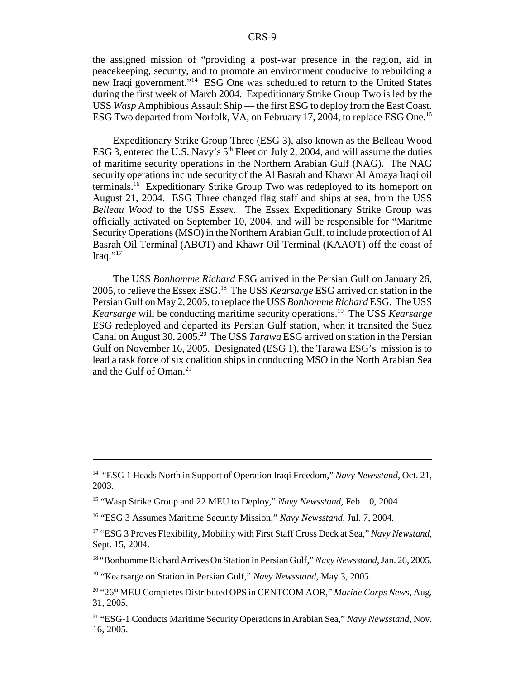the assigned mission of "providing a post-war presence in the region, aid in peacekeeping, security, and to promote an environment conducive to rebuilding a new Iraqi government."14 ESG One was scheduled to return to the United States during the first week of March 2004. Expeditionary Strike Group Two is led by the USS *Wasp* Amphibious Assault Ship — the first ESG to deploy from the East Coast. ESG Two departed from Norfolk, VA, on February 17, 2004, to replace ESG One.<sup>15</sup>

Expeditionary Strike Group Three (ESG 3), also known as the Belleau Wood ESG 3, entered the U.S. Navy's  $5<sup>th</sup>$  Fleet on July 2, 2004, and will assume the duties of maritime security operations in the Northern Arabian Gulf (NAG). The NAG security operations include security of the Al Basrah and Khawr Al Amaya Iraqi oil terminals.16 Expeditionary Strike Group Two was redeployed to its homeport on August 21, 2004. ESG Three changed flag staff and ships at sea, from the USS *Belleau Wood* to the USS *Essex*. The Essex Expeditionary Strike Group was officially activated on September 10, 2004, and will be responsible for "Maritme Security Operations (MSO) in the Northern Arabian Gulf, to include protection of Al Basrah Oil Terminal (ABOT) and Khawr Oil Terminal (KAAOT) off the coast of Iraq." $^{17}$ 

The USS *Bonhomme Richard* ESG arrived in the Persian Gulf on January 26, 2005, to relieve the Essex ESG.18 The USS *Kearsarge* ESG arrived on station in the Persian Gulf on May 2, 2005, to replace the USS *Bonhomme Richard* ESG. The USS *Kearsarge* will be conducting maritime security operations.<sup>19</sup> The USS *Kearsarge* ESG redeployed and departed its Persian Gulf station, when it transited the Suez Canal on August 30, 2005.20 The USS *Tarawa* ESG arrived on station in the Persian Gulf on November 16, 2005. Designated (ESG 1), the Tarawa ESG's mission is to lead a task force of six coalition ships in conducting MSO in the North Arabian Sea and the Gulf of Oman. $21$ 

18 "Bonhomme Richard Arrives On Station in Persian Gulf," *Navy Newsstand*, Jan. 26, 2005.

<sup>&</sup>lt;sup>14</sup> "ESG 1 Heads North in Support of Operation Iraqi Freedom," *Navy Newsstand*, Oct. 21, 2003.

<sup>15 &</sup>quot;Wasp Strike Group and 22 MEU to Deploy," *Navy Newsstand*, Feb. 10, 2004.

<sup>16 &</sup>quot;ESG 3 Assumes Maritime Security Mission," *Navy Newsstand*, Jul. 7, 2004.

<sup>17 &</sup>quot;ESG 3 Proves Flexibility, Mobility with First Staff Cross Deck at Sea," *Navy Newstand*, Sept. 15, 2004.

<sup>&</sup>lt;sup>19</sup> "Kearsarge on Station in Persian Gulf," *Navy Newsstand*, May 3, 2005.

<sup>&</sup>lt;sup>20</sup> "26<sup>th</sup> MEU Completes Distributed OPS in CENTCOM AOR," Marine Corps News, Aug. 31, 2005.

<sup>21 &</sup>quot;ESG-1 Conducts Maritime Security Operations in Arabian Sea," *Navy Newsstand*, Nov. 16, 2005.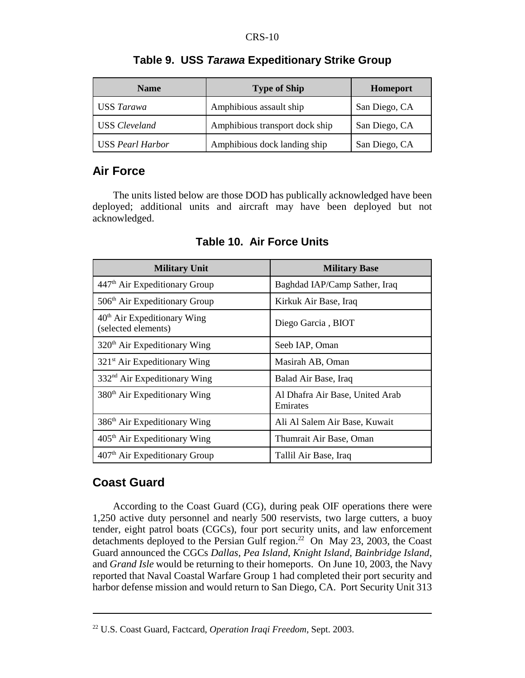| <b>Name</b>             | <b>Type of Ship</b>            | Homeport      |
|-------------------------|--------------------------------|---------------|
| USS Tarawa              | Amphibious assault ship        | San Diego, CA |
| <b>USS</b> Cleveland    | Amphibious transport dock ship | San Diego, CA |
| <b>USS Pearl Harbor</b> | Amphibious dock landing ship   | San Diego, CA |

#### **Table 9. USS** *Tarawa* **Expeditionary Strike Group**

## **Air Force**

The units listed below are those DOD has publically acknowledged have been deployed; additional units and aircraft may have been deployed but not acknowledged.

| <b>Military Unit</b>                                 | <b>Military Base</b>                        |  |
|------------------------------------------------------|---------------------------------------------|--|
| 447 <sup>th</sup> Air Expeditionary Group            | Baghdad IAP/Camp Sather, Iraq               |  |
| 506 <sup>th</sup> Air Expeditionary Group            | Kirkuk Air Base, Iraq                       |  |
| $40th$ Air Expeditionary Wing<br>(selected elements) | Diego Garcia, BIOT                          |  |
| $320th$ Air Expeditionary Wing                       | Seeb IAP, Oman                              |  |
| 321 <sup>st</sup> Air Expeditionary Wing             | Masirah AB, Oman                            |  |
| $332nd$ Air Expeditionary Wing                       | Balad Air Base, Iraq                        |  |
| 380 <sup>th</sup> Air Expeditionary Wing             | Al Dhafra Air Base, United Arab<br>Emirates |  |
| 386 <sup>th</sup> Air Expeditionary Wing             | Ali Al Salem Air Base, Kuwait               |  |
| $405th$ Air Expeditionary Wing                       | Thumrait Air Base, Oman                     |  |
| 407 <sup>th</sup> Air Expeditionary Group            | Tallil Air Base, Iraq                       |  |

**Table 10. Air Force Units**

# **Coast Guard**

According to the Coast Guard (CG), during peak OIF operations there were 1,250 active duty personnel and nearly 500 reservists, two large cutters, a buoy tender, eight patrol boats (CGCs), four port security units, and law enforcement detachments deployed to the Persian Gulf region.<sup>22</sup> On May 23, 2003, the Coast Guard announced the CGCs *Dallas*, *Pea Island*, *Knight Island*, *Bainbridge Island*, and *Grand Isle* would be returning to their homeports. On June 10, 2003, the Navy reported that Naval Coastal Warfare Group 1 had completed their port security and harbor defense mission and would return to San Diego, CA. Port Security Unit 313

<sup>22</sup> U.S. Coast Guard, Factcard, *Operation Iraqi Freedom*, Sept. 2003.